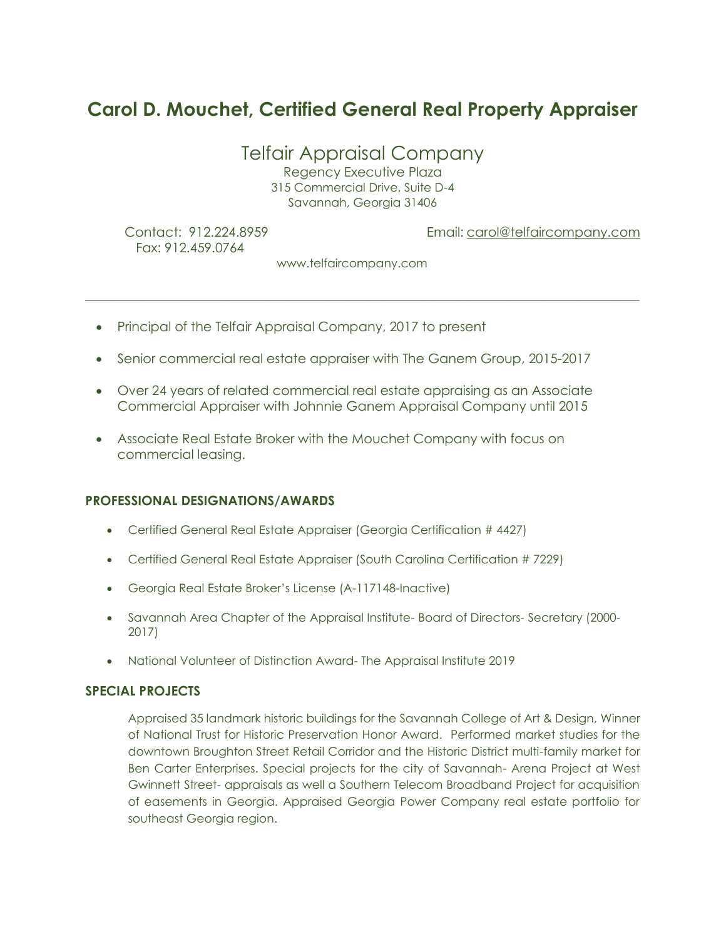# **Carol D. Mouchet, Certified General Real Property Appraiser**

Telfair Appraisal Company

Regency Executive Plaza 315 Commercial Drive, Suite D-4 Savannah, Georgia 31406

Fax: 912.459.0764

Contact: 912.224.8959 Email[: carol@telfaircompany.com](mailto:carol@telfaircompany.com)

www.telfaircompany.com

*\_\_\_\_\_\_\_\_\_\_\_\_\_\_\_\_\_\_\_\_\_\_\_\_\_\_\_\_\_\_\_\_\_\_\_\_\_\_\_\_\_\_\_\_\_\_\_\_\_\_\_\_\_\_\_\_\_\_\_\_\_\_\_\_\_\_\_\_\_\_\_\_\_\_\_\_\_\_\_\_\_\_\_\_\_*

- Principal of the Telfair Appraisal Company, 2017 to present
- Senior commercial real estate appraiser with The Ganem Group, 2015-2017
- Over 24 years of related commercial real estate appraising as an Associate Commercial Appraiser with Johnnie Ganem Appraisal Company until 2015
- Associate Real Estate Broker with the Mouchet Company with focus on commercial leasing.

### **PROFESSIONAL DESIGNATIONS/AWARDS**

- Certified General Real Estate Appraiser (Georgia Certification # 4427)
- Certified General Real Estate Appraiser (South Carolina Certification # 7229)
- Georgia Real Estate Broker's License (A-117148-Inactive)
- Savannah Area Chapter of the Appraisal Institute- Board of Directors- Secretary (2000- 2017)
- National Volunteer of Distinction Award- The Appraisal Institute 2019

### **SPECIAL PROJECTS**

Appraised 35 landmark historic buildings for the Savannah College of Art & Design, Winner of National Trust for Historic Preservation Honor Award. Performed market studies for the downtown Broughton Street Retail Corridor and the Historic District multi-family market for Ben Carter Enterprises. Special projects for the city of Savannah- Arena Project at West Gwinnett Street- appraisals as well a Southern Telecom Broadband Project for acquisition of easements in Georgia. Appraised Georgia Power Company real estate portfolio for southeast Georgia region.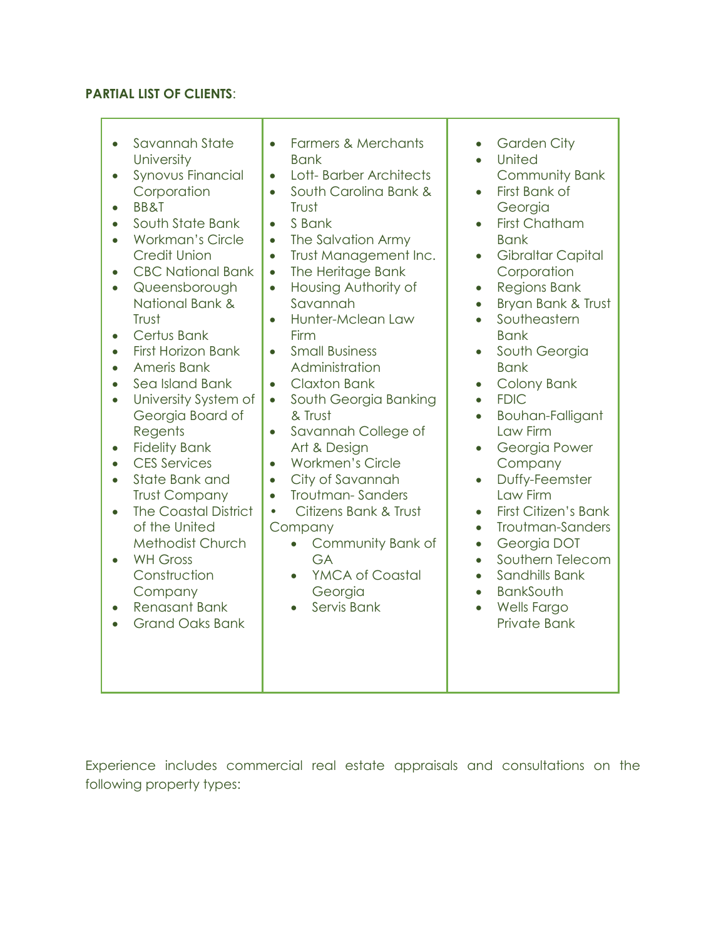# **PARTIAL LIST OF CLIENTS**:

| Savannah State<br>$\bullet$<br>University<br><b>Synovus Financial</b><br>Corporation<br><b>BB&amp;T</b><br>South State Bank<br><b>Workman's Circle</b><br><b>Credit Union</b><br><b>CBC National Bank</b><br>$\bullet$<br>Queensborough<br>National Bank &<br>Trust<br>Certus Bank<br>$\bullet$<br><b>First Horizon Bank</b><br>Ameris Bank<br>$\bullet$<br>Sea Island Bank<br>$\bullet$<br>University System of<br>$\bullet$<br>Georgia Board of<br>Regents<br><b>Fidelity Bank</b><br><b>CES Services</b><br>$\bullet$<br>State Bank and<br><b>Trust Company</b><br><b>The Coastal District</b><br>of the United<br>Methodist Church | <b>Farmers &amp; Merchants</b><br>$\bullet$<br><b>Bank</b><br>Lott-Barber Architects<br>$\bullet$<br>South Carolina Bank &<br>$\bullet$<br>Trust<br>S Bank<br>$\bullet$<br>The Salvation Army<br>$\bullet$<br>Trust Management Inc.<br>$\bullet$<br>The Heritage Bank<br>$\bullet$<br>Housing Authority of<br>$\bullet$<br>Savannah<br>Hunter-Mclean Law<br>$\bullet$<br>Firm<br><b>Small Business</b><br>$\bullet$<br>Administration<br><b>Claxton Bank</b><br>$\bullet$<br>South Georgia Banking<br>$\bullet$<br>& Trust<br>Savannah College of<br>$\bullet$<br>Art & Design<br><b>Workmen's Circle</b><br>$\bullet$<br>City of Savannah<br>$\bullet$<br><b>Troutman-Sanders</b><br>$\bullet$<br>Citizens Bank & Trust<br>$\bullet$<br>Company<br>$\bullet$ | <b>Garden City</b><br>$\bullet$<br>United<br>$\bullet$<br><b>Community Bank</b><br>First Bank of<br>$\bullet$<br>Georgia<br><b>First Chatham</b><br>$\bullet$<br><b>Bank</b><br><b>Gibraltar Capital</b><br>$\bullet$<br>Corporation<br><b>Regions Bank</b><br>$\bullet$<br>Bryan Bank & Trust<br>$\bullet$<br>Southeastern<br>$\bullet$<br><b>Bank</b><br>South Georgia<br>$\bullet$<br><b>Bank</b><br><b>Colony Bank</b><br>$\bullet$<br><b>FDIC</b><br>$\bullet$<br>Bouhan-Falligant<br>$\bullet$<br>Law Firm<br>Georgia Power<br>$\bullet$<br>Company<br>Duffy-Feemster<br>$\bullet$<br>Law Firm<br><b>First Citizen's Bank</b><br>$\bullet$<br>Troutman-Sanders<br>$\bullet$<br>$\bullet$ |
|----------------------------------------------------------------------------------------------------------------------------------------------------------------------------------------------------------------------------------------------------------------------------------------------------------------------------------------------------------------------------------------------------------------------------------------------------------------------------------------------------------------------------------------------------------------------------------------------------------------------------------------|---------------------------------------------------------------------------------------------------------------------------------------------------------------------------------------------------------------------------------------------------------------------------------------------------------------------------------------------------------------------------------------------------------------------------------------------------------------------------------------------------------------------------------------------------------------------------------------------------------------------------------------------------------------------------------------------------------------------------------------------------------------|------------------------------------------------------------------------------------------------------------------------------------------------------------------------------------------------------------------------------------------------------------------------------------------------------------------------------------------------------------------------------------------------------------------------------------------------------------------------------------------------------------------------------------------------------------------------------------------------------------------------------------------------------------------------------------------------|
| <b>WH Gross</b><br>Construction<br>Company<br><b>Renasant Bank</b><br><b>Grand Oaks Bank</b>                                                                                                                                                                                                                                                                                                                                                                                                                                                                                                                                           | Community Bank of<br>GA<br>YMCA of Coastal<br>$\bullet$<br>Georgia<br>Servis Bank                                                                                                                                                                                                                                                                                                                                                                                                                                                                                                                                                                                                                                                                             | Georgia DOT<br>Southern Telecom<br>$\bullet$<br>Sandhills Bank<br>$\bullet$<br><b>BankSouth</b><br>$\bullet$<br><b>Wells Fargo</b><br>$\bullet$<br>Private Bank                                                                                                                                                                                                                                                                                                                                                                                                                                                                                                                                |

Experience includes commercial real estate appraisals and consultations on the following property types: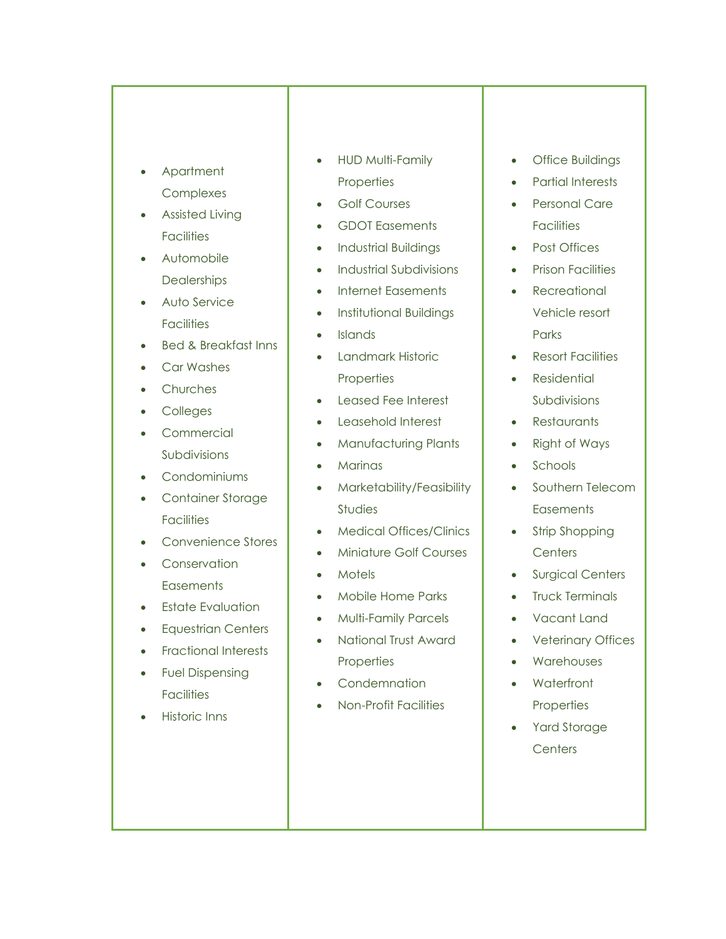- Apartment Complexes
- Assisted Living **Facilities**
- Automobile **Dealerships**
- Auto Service **Facilities**
- Bed & Breakfast Inns
- Car Washes
- **Churches**
- Colleges
- Commercial Subdivisions
- Condominiums
- Container Storage **Facilities**
- Convenience Stores
- Conservation **Easements**
- Estate Evaluation
- Equestrian Centers
- Fractional Interests
- Fuel Dispensing **Facilities**
- Historic Inns
- HUD Multi-Family **Properties**
- Golf Courses
- GDOT Easements
- Industrial Buildings
- Industrial Subdivisions
- Internet Easements
- Institutional Buildings
- Islands
- Landmark Historic **Properties**
- Leased Fee Interest
- Leasehold Interest
- Manufacturing Plants
- Marinas
- Marketability/Feasibility Studies
- Medical Offices/Clinics
- Miniature Golf Courses
- Motels
- Mobile Home Parks
- Multi-Family Parcels
- National Trust Award **Properties**
- Condemnation
- Non-Profit Facilities
- Office Buildings
- Partial Interests
- Personal Care **Facilities**
- Post Offices
- Prison Facilities
- **Recreational** Vehicle resort **Parks**
- Resort Facilities
- **Residential** Subdivisions
- Restaurants
- Right of Ways
- Schools
- Southern Telecom **Easements**
- Strip Shopping **Centers**
- Surgical Centers
- Truck Terminals
- Vacant Land
- Veterinary Offices
- Warehouses
- Waterfront **Properties**
- Yard Storage **Centers**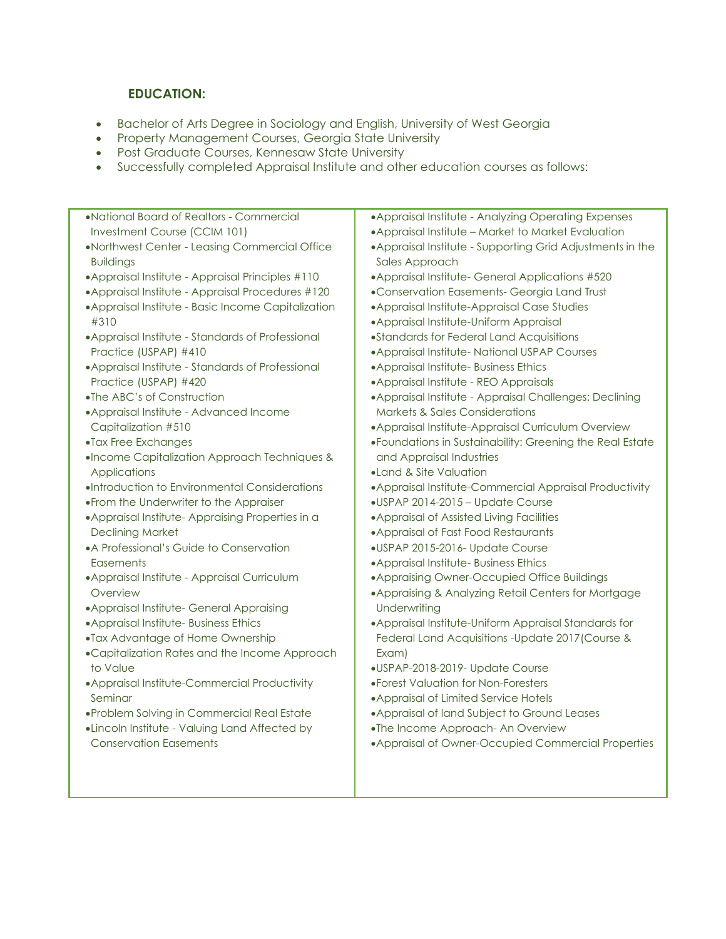# **EDUCATION:**

- Bachelor of Arts Degree in Sociology and English, University of West Georgia
- Property Management Courses, Georgia State University
- Post Graduate Courses, Kennesaw State University
- Successfully completed Appraisal Institute and other education courses as follows:
- •National Board of Realtors Commercial Investment Course (CCIM 101) •Northwest Center - Leasing Commercial Office Buildings •Appraisal Institute - Appraisal Principles #110 •Appraisal Institute - Appraisal Procedures #120 •Appraisal Institute - Basic Income Capitalization #310 •Appraisal Institute - Standards of Professional Practice (USPAP) #410 •Appraisal Institute - Standards of Professional Practice (USPAP) #420 •The ABC's of Construction •Appraisal Institute - Advanced Income Capitalization #510 •Tax Free Exchanges •Income Capitalization Approach Techniques & **Applications** •Introduction to Environmental Considerations •From the Underwriter to the Appraiser •Appraisal Institute- Appraising Properties in a Declining Market •A Professional's Guide to Conservation **Easements** •Appraisal Institute - Appraisal Curriculum Overview •Appraisal Institute- General Appraising •Appraisal Institute- Business Ethics •Tax Advantage of Home Ownership •Capitalization Rates and the Income Approach to Value •Appraisal Institute-Commercial Productivity Seminar •Problem Solving in Commercial Real Estate •Lincoln Institute - Valuing Land Affected by Conservation Easements •Appraisal Institute - Analyzing Operating Expenses •Appraisal Institute – Market to Market Evaluation •Appraisal Institute - Supporting Grid Adjustments in the Sales Approach •Appraisal Institute- General Applications #520 •Conservation Easements- Georgia Land Trust •Appraisal Institute-Appraisal Case Studies •Appraisal Institute-Uniform Appraisal •Standards for Federal Land Acquisitions •Appraisal Institute- National USPAP Courses •Appraisal Institute- Business Ethics •Appraisal Institute - REO Appraisals •Appraisal Institute - Appraisal Challenges: Declining Markets & Sales Considerations •Appraisal Institute-Appraisal Curriculum Overview •Foundations in Sustainability: Greening the Real Estate and Appraisal Industries •Land & Site Valuation •Appraisal Institute-Commercial Appraisal Productivity •USPAP 2014-2015 – Update Course •Appraisal of Assisted Living Facilities •Appraisal of Fast Food Restaurants •USPAP 2015-2016- Update Course •Appraisal Institute- Business Ethics •Appraising Owner-Occupied Office Buildings •Appraising & Analyzing Retail Centers for Mortgage **Underwriting** •Appraisal Institute-Uniform Appraisal Standards for Federal Land Acquisitions -Update 2017(Course & Exam) •USPAP-2018-2019- Update Course •Forest Valuation for Non-Foresters •Appraisal of Limited Service Hotels •Appraisal of land Subject to Ground Leases •The Income Approach- An Overview •Appraisal of Owner-Occupied Commercial Properties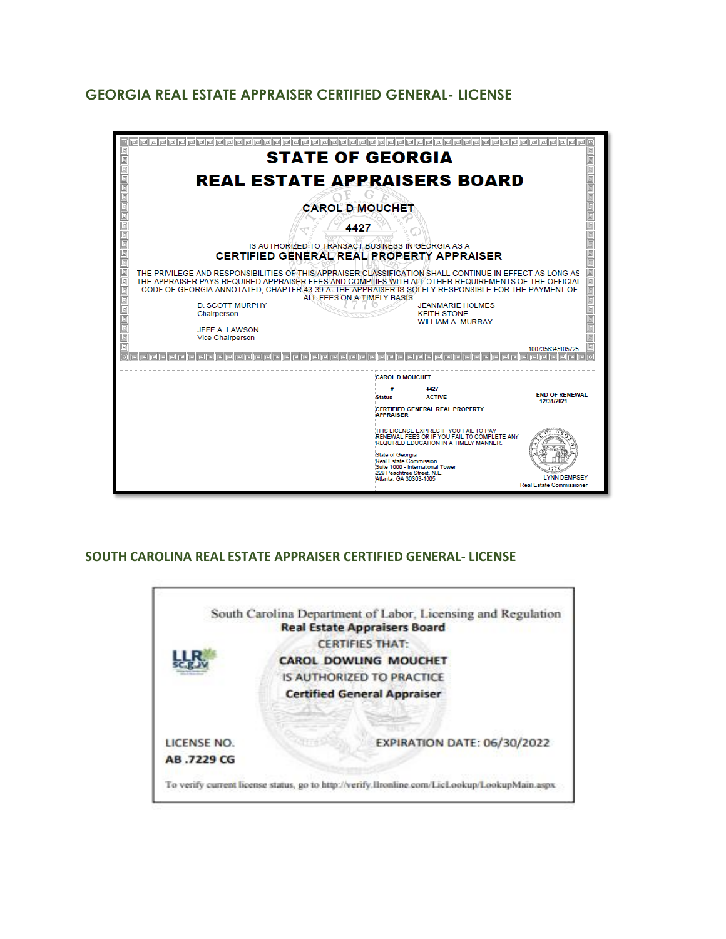# **GEORGIA REAL ESTATE APPRAISER CERTIFIED GENERAL- LICENSE**



### **SOUTH CAROLINA REAL ESTATE APPRAISER CERTIFIED GENERAL- LICENSE**

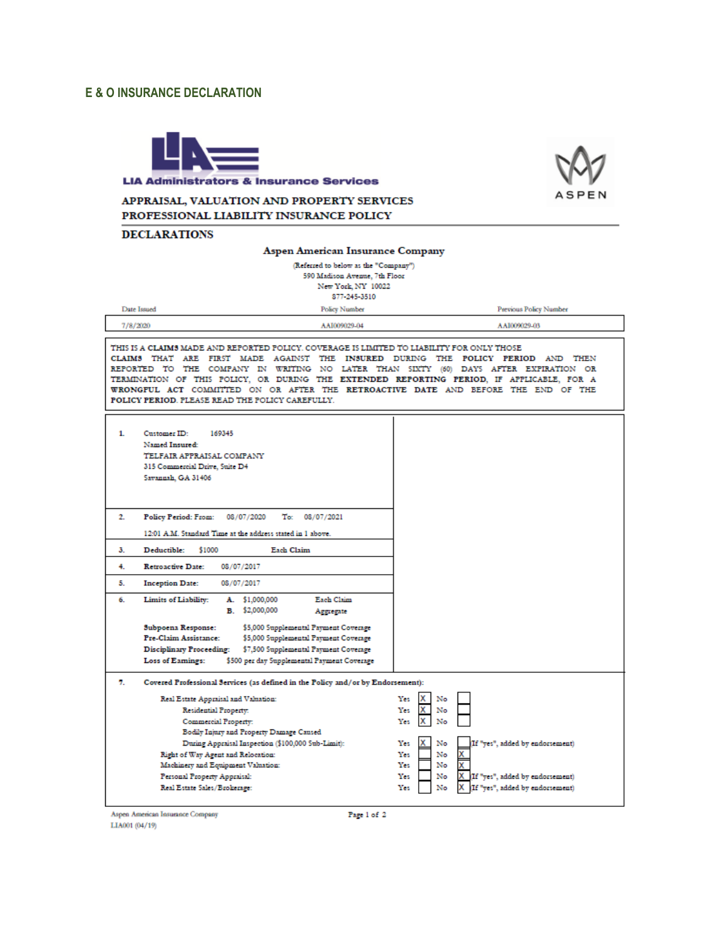#### **E & O INSURANCE DECLARATION**





#### APPRAISAL, VALUATION AND PROPERTY SERVICES PROFESSIONAL LIABILITY INSURANCE POLICY

#### **DECLARATIONS**

#### **Aspen American Insurance Company**

(Referred to below as the "Company") 590 Madison Avenue, 7th Floor New York, NY 10022 877-245-3510

| <b>Date Issued</b> | Policy Number | <b>Previous Policy Number</b> |  |  |
|--------------------|---------------|-------------------------------|--|--|
| 7/8/2020           | AAI009029-04  | AAI009029-03                  |  |  |

THIS IS A CLAIMS MADE AND REPORTED POLICY. COVERAGE IS LIMITED TO LIABILITY FOR ONLY THOSE CLAIMS THAT ARE FIRST MADE AGAINST THE INSURED DURING THE POLICY PERIOD AND THEN REPORTED TO THE COMPANY IN WRITING NO LATER THAN SIXTY (60) DAYS AFTER EXPIRATION OR TERMINATION OF THIS POLICY, OR DURING THE EXTENDED REPORTING PERIOD, IF APPLICABLE, FOR A WRONGFUL ACT COMMITTED ON OR AFTER THE RETROACTIVE DATE AND BEFORE THE END OF THE POLICY PERIOD. PLEASE READ THE POLICY CAREFULLY.

| 1. | Customer ID:<br>169345<br>Named Insured:<br>TELFAIR APPRAISAL COMPANY<br>315 Commercial Drive, Suite D4<br>Savannah, GA 31406 |                                                   |  |  |  |  |
|----|-------------------------------------------------------------------------------------------------------------------------------|---------------------------------------------------|--|--|--|--|
| 2. | To: 08/07/2021<br><b>Policy Period: From:</b><br>08/07/2020                                                                   |                                                   |  |  |  |  |
|    | 12:01 A.M. Standard Time at the address stated in 1 above.                                                                    |                                                   |  |  |  |  |
| з. | Deductible:<br>\$1000<br>Each Claim                                                                                           |                                                   |  |  |  |  |
| 4. | <b>Retroactive Date:</b><br>08/07/2017                                                                                        |                                                   |  |  |  |  |
| 5. | <b>Inception Date:</b><br>08/07/2017                                                                                          |                                                   |  |  |  |  |
| 6. | Limits of Liability:<br>A. \$1,000,000<br>Each Claim<br>B. \$2,000,000<br>Aggregate                                           |                                                   |  |  |  |  |
|    | \$5,000 Supplemental Payment Coverage<br>Subpoena Response:                                                                   |                                                   |  |  |  |  |
|    | <b>Pre-Claim Assistance:</b><br>\$5,000 Supplemental Payment Coverage                                                         |                                                   |  |  |  |  |
|    | Disciplinary Proceeding:<br>\$7,500 Supplemental Payment Coverage                                                             |                                                   |  |  |  |  |
|    | Loss of Eamings:<br>\$500 per day Supplemental Payment Coverage                                                               |                                                   |  |  |  |  |
| 7. | Covered Professional Services (as defined in the Policy and/or by Endorsement):                                               |                                                   |  |  |  |  |
|    | Real Estate Appraisal and Valuation:                                                                                          | Yes<br>x<br>No                                    |  |  |  |  |
|    | Residential Property.                                                                                                         | x<br>Yes<br>No                                    |  |  |  |  |
|    | Commercial Property:                                                                                                          | x<br>Yes<br>No                                    |  |  |  |  |
|    | Bodily Injury and Property Damage Caused<br>During Appraisal Inspection (\$100,000 Sub-Limit):                                | If "yes", added by endorsement)<br>x<br>No<br>Yes |  |  |  |  |
|    | Right of Way Agent and Relocation:                                                                                            | Yes<br>No<br>х                                    |  |  |  |  |
|    | Machinery and Equipment Valuation:                                                                                            | Yes<br>No                                         |  |  |  |  |
|    | Personal Property Appraisal:                                                                                                  | X If "yes", added by endorsement)<br>No<br>Yes    |  |  |  |  |
|    | Real Estate Sales/Brokerage:                                                                                                  | (If "yes", added by endorsement)<br>Yes<br>No     |  |  |  |  |
|    |                                                                                                                               |                                                   |  |  |  |  |

Aspen American Insurance Company LIA001 (04/19)